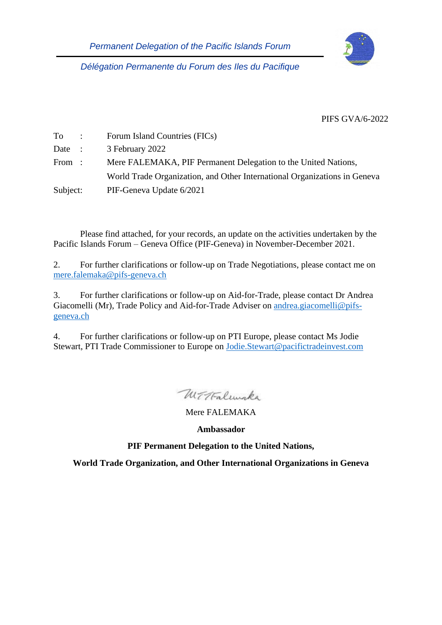

*Délégation Permanente du Forum des Iles du Pacifique*

PIFS GVA/6-2022

| $To$ :   | Forum Island Countries (FICs)                                             |
|----------|---------------------------------------------------------------------------|
| Date :   | 3 February 2022                                                           |
| From:    | Mere FALEMAKA, PIF Permanent Delegation to the United Nations,            |
|          | World Trade Organization, and Other International Organizations in Geneva |
| Subject: | PIF-Geneva Update 6/2021                                                  |

Please find attached, for your records, an update on the activities undertaken by the Pacific Islands Forum – Geneva Office (PIF-Geneva) in November-December 2021.

2. For further clarifications or follow-up on Trade Negotiations, please contact me on [mere.falemaka@pifs-geneva.ch](mailto:mere.falemaka@pifs-geneva.ch)

3. For further clarifications or follow-up on Aid-for-Trade, please contact Dr Andrea Giacomelli (Mr), Trade Policy and Aid-for-Trade Adviser on [andrea.giacomelli@pifs](mailto:andrea.giacomelli@pifs-geneva.ch)[geneva.ch](mailto:andrea.giacomelli@pifs-geneva.ch)

4. For further clarifications or follow-up on PTI Europe, please contact Ms Jodie Stewart, PTI Trade Commissioner to Europe on [Jodie.Stewart@pacifictradeinvest.com](mailto:Jodie.Stewart@pacifictradeinvest.com)

Withalmake

Mere FALEMAKA

**Ambassador**

**PIF Permanent Delegation to the United Nations,** 

**World Trade Organization, and Other International Organizations in Geneva**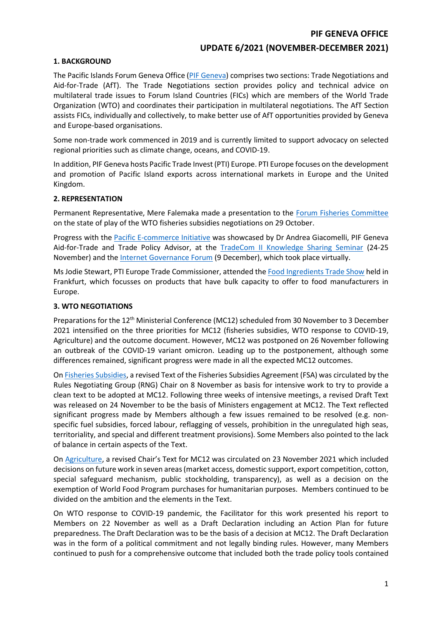#### **PIF GENEVA OFFICE**

## **UPDATE 6/2021 (NOVEMBER-DECEMBER 2021)**

#### **1. BACKGROUND**

The Pacific Islands Forum Geneva Office (PIF [Geneva\)](https://www.forumsec.org/the-forum-delegation-in-geneva/) comprises two sections: Trade Negotiations and Aid-for-Trade (AfT). The Trade Negotiations section provides policy and technical advice on multilateral trade issues to Forum Island Countries (FICs) which are members of the World Trade Organization (WTO) and coordinates their participation in multilateral negotiations. The AfT Section assists FICs, individually and collectively, to make better use of AfT opportunities provided by Geneva and Europe-based organisations.

Some non-trade work commenced in 2019 and is currently limited to support advocacy on selected regional priorities such as climate change, oceans, and COVID-19.

In addition, PIF Geneva hosts Pacific Trade Invest (PTI) Europe. PTI Europe focuses on the development and promotion of Pacific Island exports across international markets in Europe and the United Kingdom.

#### **2. REPRESENTATION**

Permanent Representative, Mere Falemaka made a presentation to the [Forum Fisheries Committee](https://www.ffa.int/ffc) on the state of play of the WTO fisheries subsidies negotiations on 29 October.

Progress with the [Pacific E-commerce Initiative](https://www.forumsec.org/2021/02/23/pacific-e-commerce-initiative/) was showcased by Dr Andrea Giacomelli, PIF Geneva Aid-for-Trade and Trade Policy Advisor, at the [TradeCom II Knowledge Sharing Seminar](http://www.tradecom-acpeu.org/pagenews.cfm?id=279CC3E89126DCC6C78B90A8D1ED66FAD1E780FBF584FA6D1FCEE8E906FEFEC8DD) (24-25 November) and the [Internet Governance Forum](https://www.intgovforum.org/en/content/igf-2021-dc-sids-the-pandemic-internet-ensuring-sids-do-not-fall-behind) (9 December), which took place virtually.

Ms Jodie Stewart, PTI Europe Trade Commissioner, attended the [Food Ingredients Trade Show](https://www.figlobal.com/fieurope/en/home.html) held in Frankfurt, which focusses on products that have bulk capacity to offer to food manufacturers in Europe.

#### **3. WTO NEGOTIATIONS**

Preparations for the 12th Ministerial Conference (MC12) scheduled from 30 November to 3 December 2021 intensified on the three priorities for MC12 (fisheries subsidies, WTO response to COVID-19, Agriculture) and the outcome document. However, MC12 was postponed on 26 November following an outbreak of the COVID-19 variant omicron. Leading up to the postponement, although some differences remained, significant progress were made in all the expected MC12 outcomes.

O[n Fisheries Subsidies,](https://www.wto.org/english/tratop_e/rulesneg_e/fish_e/fish_e.htm) a revised Text of the Fisheries Subsidies Agreement (FSA) was circulated by the Rules Negotiating Group (RNG) Chair on 8 November as basis for intensive work to try to provide a clean text to be adopted at MC12. Following three weeks of intensive meetings, a revised Draft Text was released on 24 November to be the basis of Ministers engagement at MC12. The Text reflected significant progress made by Members although a few issues remained to be resolved (e.g. nonspecific fuel subsidies, forced labour, reflagging of vessels, prohibition in the unregulated high seas, territoriality, and special and different treatment provisions). Some Members also pointed to the lack of balance in certain aspects of the Text.

On [Agriculture](https://www.wto.org/english/tratop_e/agric_e/negoti_e.htm), a revised Chair's Text for MC12 was circulated on 23 November 2021 which included decisions on future work in seven areas (market access, domestic support, export competition, cotton, special safeguard mechanism, public stockholding, transparency), as well as a decision on the exemption of World Food Program purchases for humanitarian purposes. Members continued to be divided on the ambition and the elements in the Text.

On WTO response to COVID-19 pandemic, the Facilitator for this work presented his report to Members on 22 November as well as a Draft Declaration including an Action Plan for future preparedness. The Draft Declaration was to be the basis of a decision at MC12. The Draft Declaration was in the form of a political commitment and not legally binding rules. However, many Members continued to push for a comprehensive outcome that included both the trade policy tools contained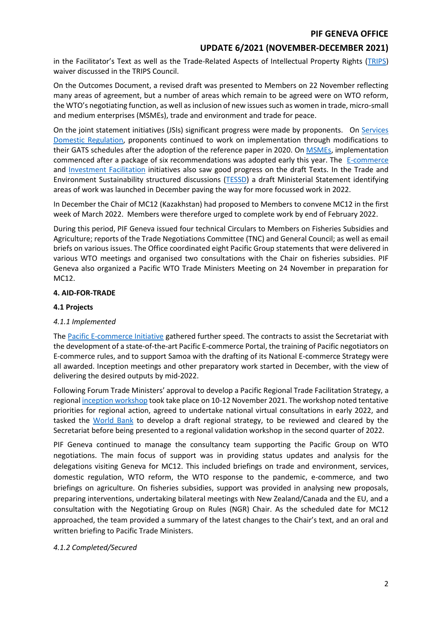# **UPDATE 6/2021 (NOVEMBER-DECEMBER 2021)**

in the Facilitator's Text as well as the Trade-Related Aspects of Intellectual Property Rights [\(TRIPS\)](https://www.wto.org/english/tratop_e/trips_e/trips_e.htm) waiver discussed in the TRIPS Council.

On the Outcomes Document, a revised draft was presented to Members on 22 November reflecting many areas of agreement, but a number of areas which remain to be agreed were on WTO reform, the WTO's negotiating function, as well as inclusion of new issues such as women in trade, micro-small and medium enterprises (MSMEs), trade and environment and trade for peace.

On the joint statement initiatives (JSIs) significant progress were made by proponents. On [Services](https://www.wto.org/english/news_e/archive_e/jssdr_arc_e.htm)  [Domestic Regulation,](https://www.wto.org/english/news_e/archive_e/jssdr_arc_e.htm) proponents continued to work on implementation through modifications to their GATS schedules after the adoption of the reference paper in 2020. O[n MSMEs,](https://www.wto.org/english/tratop_e/msmes_e/msmes_e.htm) implementation commenced after a package of six recommendations was adopted early this year. The [E-commerce](https://www.wto.org/english/tratop_e/ecom_e/ecom_e.htm) and [Investment Facilitation](https://www.wto.org/english/tratop_e/invfac_public_e/invfac_e.htm) initiatives also saw good progress on the draft Texts. In the Trade and Environment Sustainability structured discussions [\(TESSD\)](https://www.wto.org/english/tratop_e/tessd_e/tessd_e.htm) a draft Ministerial Statement identifying areas of work was launched in December paving the way for more focussed work in 2022.

In December the Chair of MC12 (Kazakhstan) had proposed to Members to convene MC12 in the first week of March 2022. Members were therefore urged to complete work by end of February 2022.

During this period, PIF Geneva issued four technical Circulars to Members on Fisheries Subsidies and Agriculture; reports of the Trade Negotiations Committee (TNC) and General Council; as well as email briefs on various issues. The Office coordinated eight Pacific Group statements that were delivered in various WTO meetings and organised two consultations with the Chair on fisheries subsidies. PIF Geneva also organized a Pacific WTO Trade Ministers Meeting on 24 November in preparation for MC12.

#### **4. AID-FOR-TRADE**

#### **4.1 Projects**

## *4.1.1 Implemented*

The [Pacific E-commerce Initiative](https://www.forumsec.org/2021/02/23/pacific-e-commerce-initiative/) gathered further speed. The contracts to assist the Secretariat with the development of a state-of-the-art Pacific E-commerce Portal, the training of Pacific negotiators on E-commerce rules, and to support Samoa with the drafting of its National E-commerce Strategy were all awarded. Inception meetings and other preparatory work started in December, with the view of delivering the desired outputs by mid-2022.

Following Forum Trade Ministers' approval to develop a Pacific Regional Trade Facilitation Strategy, a regiona[l inception workshop](https://www.facebook.com/ForumSec/videos/935011490704344) took take place on 10-12 November 2021. The workshop noted tentative priorities for regional action, agreed to undertake national virtual consultations in early 2022, and tasked the [World Bank](https://www.worldbank.org/en/programs/trade-facilitation-support-program) to develop a draft regional strategy, to be reviewed and cleared by the Secretariat before being presented to a regional validation workshop in the second quarter of 2022.

PIF Geneva continued to manage the consultancy team supporting the Pacific Group on WTO negotiations. The main focus of support was in providing status updates and analysis for the delegations visiting Geneva for MC12. This included briefings on trade and environment, services, domestic regulation, WTO reform, the WTO response to the pandemic, e-commerce, and two briefings on agriculture. On fisheries subsidies, support was provided in analysing new proposals, preparing interventions, undertaking bilateral meetings with New Zealand/Canada and the EU, and a consultation with the Negotiating Group on Rules (NGR) Chair. As the scheduled date for MC12 approached, the team provided a summary of the latest changes to the Chair's text, and an oral and written briefing to Pacific Trade Ministers.

## *4.1.2 Completed/Secured*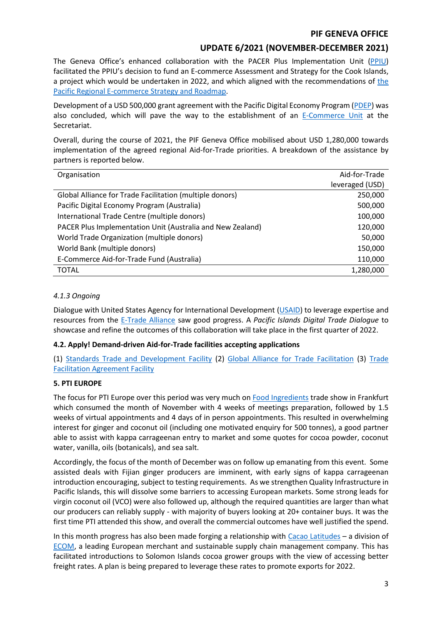# **UPDATE 6/2021 (NOVEMBER-DECEMBER 2021)**

The Geneva Office's enhanced collaboration with the PACER Plus Implementation Unit [\(PPIU\)](https://www.facebook.com/PACERPlus) facilitated the PPIU's decision to fund an E-commerce Assessment and Strategy for the Cook Islands, a project which would be undertaken in 2022, and which aligned with [the](https://www.forumsec.org/wp-content/uploads/2021/02/Regional-Ecommerce-Strategy-Roadmap.pdf) recommendations of the [Pacific Regional E-commerce Strategy and Roadmap.](https://www.forumsec.org/wp-content/uploads/2021/02/Regional-Ecommerce-Strategy-Roadmap.pdf)

Development of a USD 500,000 grant agreement with the Pacific Digital Economy Program [\(PDEP\)](https://unctad.org/topic/ecommerce-and-digital-economy/pacific-digital-economy-programme) was also concluded, which will pave the way to the establishment of an [E-Commerce Unit](https://www.forumsec.org/2022/01/17/new-grant-paves-the-way-for-forum-e-commerce-unit/) at the Secretariat.

Overall, during the course of 2021, the PIF Geneva Office mobilised about USD 1,280,000 towards implementation of the agreed regional Aid-for-Trade priorities. A breakdown of the assistance by partners is reported below.

| Organisation                                               | Aid-for-Trade   |
|------------------------------------------------------------|-----------------|
|                                                            | leveraged (USD) |
| Global Alliance for Trade Facilitation (multiple donors)   | 250,000         |
| Pacific Digital Economy Program (Australia)                | 500,000         |
| International Trade Centre (multiple donors)               | 100,000         |
| PACER Plus Implementation Unit (Australia and New Zealand) | 120,000         |
| World Trade Organization (multiple donors)                 | 50,000          |
| World Bank (multiple donors)                               | 150,000         |
| E-Commerce Aid-for-Trade Fund (Australia)                  | 110,000         |
| TOTAL                                                      | 1,280,000       |

## *4.1.3 Ongoing*

Dialogue with United States Agency for International Development [\(USAID\)](https://www.usaid.gov/) to leverage expertise and resources from the [E-Trade Alliance](https://www.allianceforetradedevelopment.org/) saw good progress. A *Pacific Islands Digital Trade Dialogue* to showcase and refine the outcomes of this collaboration will take place in the first quarter of 2022.

## **4.2. Apply! Demand-driven Aid-for-Trade facilities accepting applications**

(1) [Standards Trade and Development Facility](http://www.standardsfacility.org/) (2) [Global Alliance for Trade Facilitation](http://www.tradefacilitation.org/) (3) [Trade](https://www.tfafacility.org/tfaf-assistance)  [Facilitation Agreement Facility](https://www.tfafacility.org/tfaf-assistance)

## **5. PTI EUROPE**

The focus for PTI Europe over this period was very much on [Food Ingredients](https://www.neventum.com/tradeshows/fi-europe) trade show in Frankfurt which consumed the month of November with 4 weeks of meetings preparation, followed by 1.5 weeks of virtual appointments and 4 days of in person appointments. This resulted in overwhelming interest for ginger and coconut oil (including one motivated enquiry for 500 tonnes), a good partner able to assist with kappa carrageenan entry to market and some quotes for cocoa powder, coconut water, vanilla, oils (botanicals), and sea salt.

Accordingly, the focus of the month of December was on follow up emanating from this event. Some assisted deals with Fijian ginger producers are imminent, with early signs of kappa carrageenan introduction encouraging, subject to testing requirements. As we strengthen Quality Infrastructure in Pacific Islands, this will dissolve some barriers to accessing European markets. Some strong leads for virgin coconut oil (VCO) were also followed up, although the required quantities are larger than what our producers can reliably supply - with majority of buyers looking at 20+ container buys. It was the first time PTI attended this show, and overall the commercial outcomes have well justified the spend.

In this month progress has also been made forging a relationship with [Cacao Latitudes](https://www.cacaolatitudes.com/) – a division of [ECOM,](https://www.ecomtrading.com/) a leading European merchant and sustainable supply chain management company. This has facilitated introductions to Solomon Islands cocoa grower groups with the view of accessing better freight rates. A plan is being prepared to leverage these rates to promote exports for 2022.